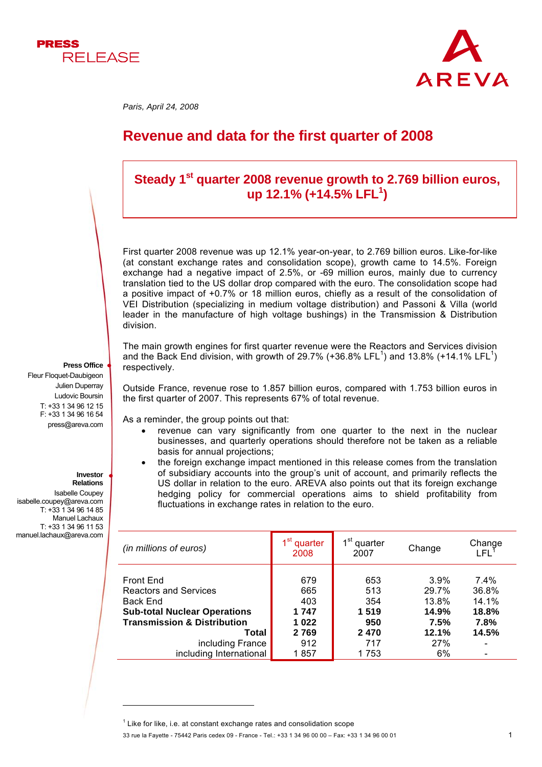



 *Paris, April 24, 2008* 

# **Revenue and data for the first quarter of 2008**

## Steady 1<sup>st</sup> quarter 2008 revenue growth to 2.769 billion euros, **up 12.1% (+14.5% LFL1 )**

First quarter 2008 revenue was up 12.1% year-on-year, to 2.769 billion euros. Like-for-like (at constant exchange rates and consolidation scope), growth came to 14.5%. Foreign exchange had a negative impact of 2.5%, or -69 million euros, mainly due to currency translation tied to the US dollar drop compared with the euro. The consolidation scope had a positive impact of +0.7% or 18 million euros, chiefly as a result of the consolidation of VEI Distribution (specializing in medium voltage distribution) and Passoni & Villa (world leader in the manufacture of high voltage bushings) in the Transmission & Distribution division.

The main growth engines for first quarter revenue were the Reactors and Services division and the Back End division, with growth of 29.7% (+36.8% LFL<sup>1</sup>) and 13.8% (+14.1% LFL<sup>1</sup>) respectively.

Outside France, revenue rose to 1.857 billion euros, compared with 1.753 billion euros in the first quarter of 2007. This represents 67% of total revenue.

As a reminder, the group points out that:

- revenue can vary significantly from one quarter to the next in the nuclear businesses, and quarterly operations should therefore not be taken as a reliable basis for annual projections;
- the foreign exchange impact mentioned in this release comes from the translation of subsidiary accounts into the group's unit of account, and primarily reflects the US dollar in relation to the euro. AREVA also points out that its foreign exchange hedging policy for commercial operations aims to shield profitability from fluctuations in exchange rates in relation to the euro.

| (in millions of euros)                                                                                                                                                                                | 1st<br>quarter<br>2008                                       | 1st<br>quarter<br>2007                                   | Change                                                        | Change<br>LFL                                    |
|-------------------------------------------------------------------------------------------------------------------------------------------------------------------------------------------------------|--------------------------------------------------------------|----------------------------------------------------------|---------------------------------------------------------------|--------------------------------------------------|
| Front End<br><b>Reactors and Services</b><br><b>Back End</b><br><b>Sub-total Nuclear Operations</b><br><b>Transmission &amp; Distribution</b><br>Total<br>including France<br>including International | 679<br>665<br>403<br>1 747<br>1022<br>2 7 6 9<br>912<br>1857 | 653<br>513<br>354<br>1519<br>950<br>2470<br>717<br>1 753 | 3.9%<br>29.7%<br>13.8%<br>14.9%<br>7.5%<br>12.1%<br>27%<br>6% | 7.4%<br>36.8%<br>14.1%<br>18.8%<br>7.8%<br>14.5% |

Fleur Floquet-Daubigeon Julien Duperray Ludovic Boursin T: +33 1 34 96 12 15 F: +33 1 34 96 16 54 press@areva.com

**Press Office**

#### **Investor Relations**

l

Isabelle Coupey isabelle.coupey@areva.com T: +33 1 34 96 14 85 Manuel Lachaux T: +33 1 34 96 11 53 manuel.lachaux@areva.com

 $1$  Like for like, i.e. at constant exchange rates and consolidation scope

<sup>33</sup> rue la Fayette - 75442 Paris cedex 09 - France - Tel.: +33 1 34 96 00 00 – Fax: +33 1 34 96 00 01 1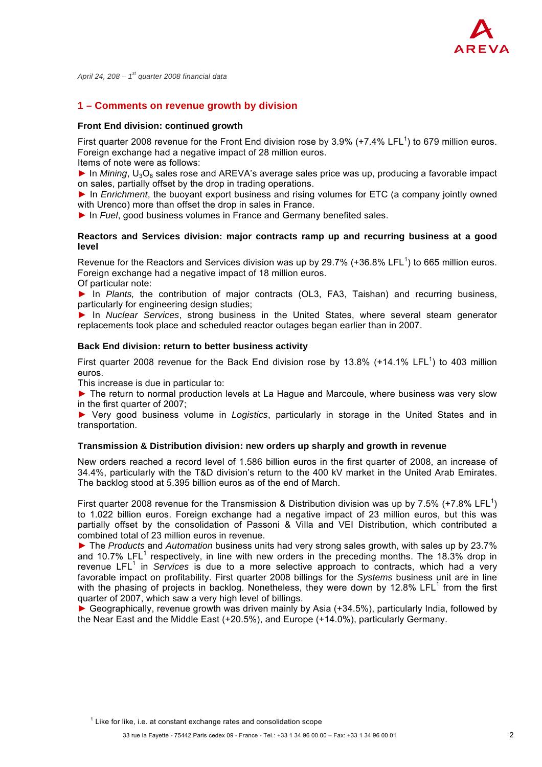

*April 24, 208 – 1st quarter 2008 financial data* 

## **1 – Comments on revenue growth by division**

#### **Front End division: continued growth**

First quarter 2008 revenue for the Front End division rose by 3.9% (+7.4% LFL<sup>1</sup>) to 679 million euros. Foreign exchange had a negative impact of 28 million euros.

Items of note were as follows:

► In *Mining*, U<sub>3</sub>O<sub>8</sub> sales rose and AREVA's average sales price was up, producing a favorable impact on sales, partially offset by the drop in trading operations.

► In *Enrichment*, the buoyant export business and rising volumes for ETC (a company jointly owned with Urenco) more than offset the drop in sales in France.

► In *Fuel*, good business volumes in France and Germany benefited sales.

#### **Reactors and Services division: major contracts ramp up and recurring business at a good level**

Revenue for the Reactors and Services division was up by 29.7% (+36.8% LFL<sup>1</sup>) to 665 million euros. Foreign exchange had a negative impact of 18 million euros.

Of particular note:

► In *Plants,* the contribution of major contracts (OL3, FA3, Taishan) and recurring business, particularly for engineering design studies;

► In *Nuclear Services*, strong business in the United States, where several steam generator replacements took place and scheduled reactor outages began earlier than in 2007.

#### **Back End division: return to better business activity**

First quarter 2008 revenue for the Back End division rose by 13.8% (+14.1% LFL<sup>1</sup>) to 403 million euros.

This increase is due in particular to:

► The return to normal production levels at La Hague and Marcoule, where business was very slow in the first quarter of 2007;

► Very good business volume in *Logistics*, particularly in storage in the United States and in transportation.

#### **Transmission & Distribution division: new orders up sharply and growth in revenue**

New orders reached a record level of 1.586 billion euros in the first quarter of 2008, an increase of 34.4%, particularly with the T&D division's return to the 400 kV market in the United Arab Emirates. The backlog stood at 5.395 billion euros as of the end of March.

First quarter 2008 revenue for the Transmission & Distribution division was up by 7.5% (+7.8% LFL<sup>1</sup>) to 1.022 billion euros. Foreign exchange had a negative impact of 23 million euros, but this was partially offset by the consolidation of Passoni & Villa and VEI Distribution, which contributed a combined total of 23 million euros in revenue.

► The *Products* and *Automation* business units had very strong sales growth, with sales up by 23.7% and 10.7% LFL<sup>1</sup> respectively, in line with new orders in the preceding months. The 18.3% drop in revenue LFL<sup>1</sup> in *Services* is due to a more selective approach to contracts, which had a very favorable impact on profitability. First quarter 2008 billings for the *Systems* business unit are in line with the phasing of projects in backlog. Nonetheless, they were down by 12.8% LFL<sup>1</sup> from the first quarter of 2007, which saw a very high level of billings.

► Geographically, revenue growth was driven mainly by Asia (+34.5%), particularly India, followed by the Near East and the Middle East (+20.5%), and Europe (+14.0%), particularly Germany.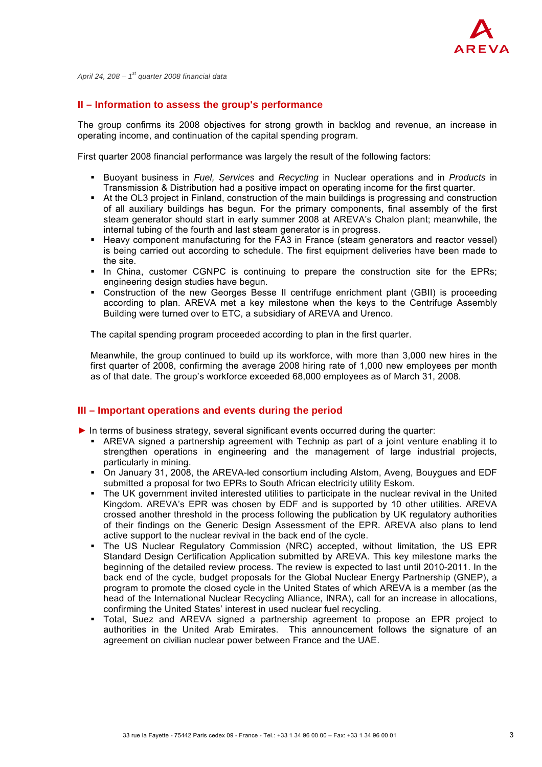

*April 24, 208 – 1st quarter 2008 financial data* 

#### **II – Information to assess the group's performance**

The group confirms its 2008 objectives for strong growth in backlog and revenue, an increase in operating income, and continuation of the capital spending program.

First quarter 2008 financial performance was largely the result of the following factors:

- Buoyant business in *Fuel, Services* and *Recycling* in Nuclear operations and in *Products* in Transmission & Distribution had a positive impact on operating income for the first quarter.
- At the OL3 project in Finland, construction of the main buildings is progressing and construction of all auxiliary buildings has begun. For the primary components, final assembly of the first steam generator should start in early summer 2008 at AREVA's Chalon plant; meanwhile, the internal tubing of the fourth and last steam generator is in progress.
- Heavy component manufacturing for the FA3 in France (steam generators and reactor vessel) is being carried out according to schedule. The first equipment deliveries have been made to the site.
- In China, customer CGNPC is continuing to prepare the construction site for the EPRs; engineering design studies have begun.
- Construction of the new Georges Besse II centrifuge enrichment plant (GBII) is proceeding according to plan. AREVA met a key milestone when the keys to the Centrifuge Assembly Building were turned over to ETC, a subsidiary of AREVA and Urenco.

The capital spending program proceeded according to plan in the first quarter.

Meanwhile, the group continued to build up its workforce, with more than 3,000 new hires in the first quarter of 2008, confirming the average 2008 hiring rate of 1,000 new employees per month as of that date. The group's workforce exceeded 68,000 employees as of March 31, 2008.

### **III – Important operations and events during the period**

- ► In terms of business strategy, several significant events occurred during the quarter:
	- AREVA signed a partnership agreement with Technip as part of a joint venture enabling it to strengthen operations in engineering and the management of large industrial projects, particularly in mining.
	- On January 31, 2008, the AREVA-led consortium including Alstom, Aveng, Bouygues and EDF submitted a proposal for two EPRs to South African electricity utility Eskom.
	- The UK government invited interested utilities to participate in the nuclear revival in the United Kingdom. AREVA's EPR was chosen by EDF and is supported by 10 other utilities. AREVA crossed another threshold in the process following the publication by UK regulatory authorities of their findings on the Generic Design Assessment of the EPR. AREVA also plans to lend active support to the nuclear revival in the back end of the cycle.
	- The US Nuclear Regulatory Commission (NRC) accepted, without limitation, the US EPR Standard Design Certification Application submitted by AREVA. This key milestone marks the beginning of the detailed review process. The review is expected to last until 2010-2011. In the back end of the cycle, budget proposals for the Global Nuclear Energy Partnership (GNEP), a program to promote the closed cycle in the United States of which AREVA is a member (as the head of the International Nuclear Recycling Alliance, INRA), call for an increase in allocations, confirming the United States' interest in used nuclear fuel recycling.
	- Total, Suez and AREVA signed a partnership agreement to propose an EPR project to authorities in the United Arab Emirates. This announcement follows the signature of an agreement on civilian nuclear power between France and the UAE.